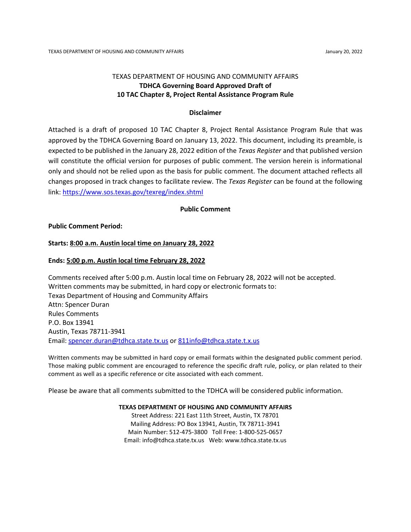### TEXAS DEPARTMENT OF HOUSING AND COMMUNITY AFFAIRS **TDHCA Governing Board Approved Draft of 10 TAC Chapter 8, Project Rental Assistance Program Rule**

#### **Disclaimer**

Attached is a draft of proposed 10 TAC Chapter 8, Project Rental Assistance Program Rule that was approved by the TDHCA Governing Board on January 13, 2022. This document, including its preamble, is expected to be published in the January 28, 2022 edition of the *Texas Register* and that published version will constitute the official version for purposes of public comment. The version herein is informational only and should not be relied upon as the basis for public comment. The document attached reflects all changes proposed in track changes to facilitate review. The *Texas Register* can be found at the following link:<https://www.sos.texas.gov/texreg/index.shtml>

#### **Public Comment**

#### **Public Comment Period:**

#### **Starts: 8:00 a.m. Austin local time on January 28, 2022**

#### **Ends: 5:00 p.m. Austin local time February 28, 2022**

Comments received after 5:00 p.m. Austin local time on February 28, 2022 will not be accepted. Written comments may be submitted, in hard copy or electronic formats to: Texas Department of Housing and Community Affairs Attn: Spencer Duran Rules Comments P.O. Box 13941 Austin, Texas 78711-3941 Email: [spencer.duran@tdhca.state.tx.us](mailto:spencer.duran@tdhca.state.tx.us) or [811info@tdhca.state.t.x.us](mailto:811info@tdhca.state.t.x.us)

Written comments may be submitted in hard copy or email formats within the designated public comment period. Those making public comment are encouraged to reference the specific draft rule, policy, or plan related to their comment as well as a specific reference or cite associated with each comment.

Please be aware that all comments submitted to the TDHCA will be considered public information.

#### **TEXAS DEPARTMENT OF HOUSING AND COMMUNITY AFFAIRS**

Street Address: 221 East 11th Street, Austin, TX 78701 Mailing Address: PO Box 13941, Austin, TX 78711-3941 Main Number: 512-475-3800 Toll Free: 1-800-525-0657 Email: info@tdhca.state.tx.us Web: www.tdhca.state.tx.us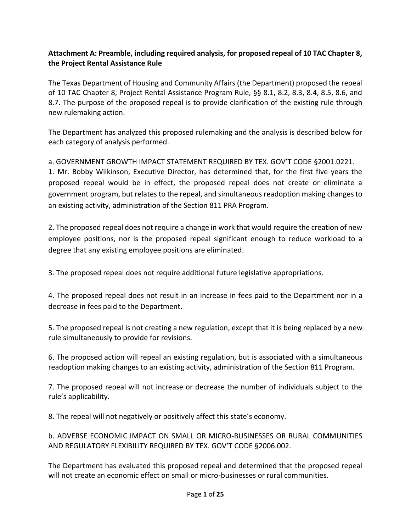# **Attachment A: Preamble, including required analysis, for proposed repeal of 10 TAC Chapter 8, the Project Rental Assistance Rule**

The Texas Department of Housing and Community Affairs (the Department) proposed the repeal of 10 TAC Chapter 8, Project Rental Assistance Program Rule, §§ 8.1, 8.2, 8.3, 8.4, 8.5, 8.6, and 8.7. The purpose of the proposed repeal is to provide clarification of the existing rule through new rulemaking action.

The Department has analyzed this proposed rulemaking and the analysis is described below for each category of analysis performed.

a. GOVERNMENT GROWTH IMPACT STATEMENT REQUIRED BY TEX. GOV'T CODE §2001.0221. 1. Mr. Bobby Wilkinson, Executive Director, has determined that, for the first five years the proposed repeal would be in effect, the proposed repeal does not create or eliminate a government program, but relates to the repeal, and simultaneous readoption making changes to an existing activity, administration of the Section 811 PRA Program.

2. The proposed repeal does not require a change in work that would require the creation of new employee positions, nor is the proposed repeal significant enough to reduce workload to a degree that any existing employee positions are eliminated.

3. The proposed repeal does not require additional future legislative appropriations.

4. The proposed repeal does not result in an increase in fees paid to the Department nor in a decrease in fees paid to the Department.

5. The proposed repeal is not creating a new regulation, except that it is being replaced by a new rule simultaneously to provide for revisions.

6. The proposed action will repeal an existing regulation, but is associated with a simultaneous readoption making changes to an existing activity, administration of the Section 811 Program.

7. The proposed repeal will not increase or decrease the number of individuals subject to the rule's applicability.

8. The repeal will not negatively or positively affect this state's economy.

b. ADVERSE ECONOMIC IMPACT ON SMALL OR MICRO-BUSINESSES OR RURAL COMMUNITIES AND REGULATORY FLEXIBILITY REQUIRED BY TEX. GOV'T CODE §2006.002.

The Department has evaluated this proposed repeal and determined that the proposed repeal will not create an economic effect on small or micro-businesses or rural communities.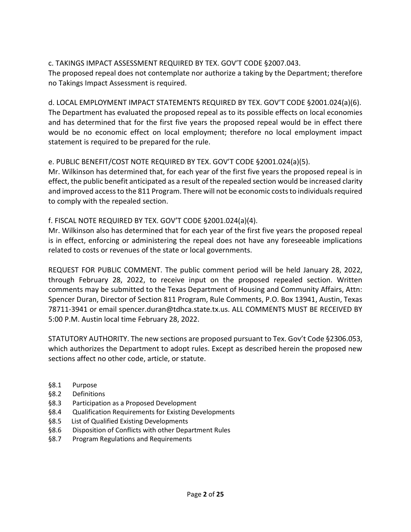c. TAKINGS IMPACT ASSESSMENT REQUIRED BY TEX. GOV'T CODE §2007.043. The proposed repeal does not contemplate nor authorize a taking by the Department; therefore no Takings Impact Assessment is required.

d. LOCAL EMPLOYMENT IMPACT STATEMENTS REQUIRED BY TEX. GOV'T CODE §2001.024(a)(6). The Department has evaluated the proposed repeal as to its possible effects on local economies and has determined that for the first five years the proposed repeal would be in effect there would be no economic effect on local employment; therefore no local employment impact statement is required to be prepared for the rule.

# e. PUBLIC BENEFIT/COST NOTE REQUIRED BY TEX. GOV'T CODE §2001.024(a)(5).

Mr. Wilkinson has determined that, for each year of the first five years the proposed repeal is in effect, the public benefit anticipated as a result of the repealed section would be increased clarity and improved access to the 811 Program. There will not be economic costs to individuals required to comply with the repealed section.

# f. FISCAL NOTE REQUIRED BY TEX. GOV'T CODE §2001.024(a)(4).

Mr. Wilkinson also has determined that for each year of the first five years the proposed repeal is in effect, enforcing or administering the repeal does not have any foreseeable implications related to costs or revenues of the state or local governments.

REQUEST FOR PUBLIC COMMENT. The public comment period will be held January 28, 2022, through February 28, 2022, to receive input on the proposed repealed section. Written comments may be submitted to the Texas Department of Housing and Community Affairs, Attn: Spencer Duran, Director of Section 811 Program, Rule Comments, P.O. Box 13941, Austin, Texas 78711-3941 or email spencer.duran@tdhca.state.tx.us. ALL COMMENTS MUST BE RECEIVED BY 5:00 P.M. Austin local time February 28, 2022.

STATUTORY AUTHORITY. The new sections are proposed pursuant to Tex. Gov't Code §2306.053, which authorizes the Department to adopt rules. Except as described herein the proposed new sections affect no other code, article, or statute.

- §8.1 Purpose
- §8.2 Definitions
- §8.3 Participation as a Proposed Development
- §8.4 Qualification Requirements for Existing Developments
- §8.5 List of Qualified Existing Developments
- §8.6 Disposition of Conflicts with other Department Rules
- §8.7 Program Regulations and Requirements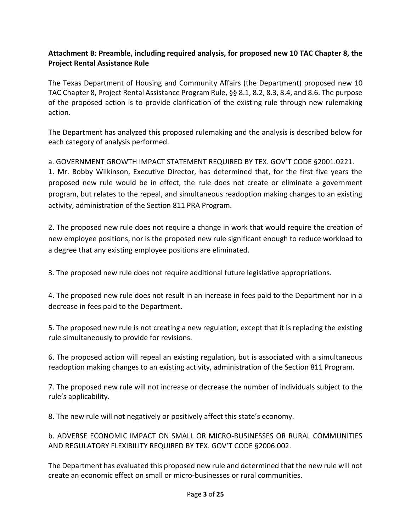# **Attachment B: Preamble, including required analysis, for proposed new 10 TAC Chapter 8, the Project Rental Assistance Rule**

The Texas Department of Housing and Community Affairs (the Department) proposed new 10 TAC Chapter 8, Project Rental Assistance Program Rule, §§ 8.1, 8.2, 8.3, 8.4, and 8.6. The purpose of the proposed action is to provide clarification of the existing rule through new rulemaking action.

The Department has analyzed this proposed rulemaking and the analysis is described below for each category of analysis performed.

a. GOVERNMENT GROWTH IMPACT STATEMENT REQUIRED BY TEX. GOV'T CODE §2001.0221. 1. Mr. Bobby Wilkinson, Executive Director, has determined that, for the first five years the proposed new rule would be in effect, the rule does not create or eliminate a government program, but relates to the repeal, and simultaneous readoption making changes to an existing activity, administration of the Section 811 PRA Program.

2. The proposed new rule does not require a change in work that would require the creation of new employee positions, nor is the proposed new rule significant enough to reduce workload to a degree that any existing employee positions are eliminated.

3. The proposed new rule does not require additional future legislative appropriations.

4. The proposed new rule does not result in an increase in fees paid to the Department nor in a decrease in fees paid to the Department.

5. The proposed new rule is not creating a new regulation, except that it is replacing the existing rule simultaneously to provide for revisions.

6. The proposed action will repeal an existing regulation, but is associated with a simultaneous readoption making changes to an existing activity, administration of the Section 811 Program.

7. The proposed new rule will not increase or decrease the number of individuals subject to the rule's applicability.

8. The new rule will not negatively or positively affect this state's economy.

b. ADVERSE ECONOMIC IMPACT ON SMALL OR MICRO-BUSINESSES OR RURAL COMMUNITIES AND REGULATORY FLEXIBILITY REQUIRED BY TEX. GOV'T CODE §2006.002.

The Department has evaluated this proposed new rule and determined that the new rule will not create an economic effect on small or micro-businesses or rural communities.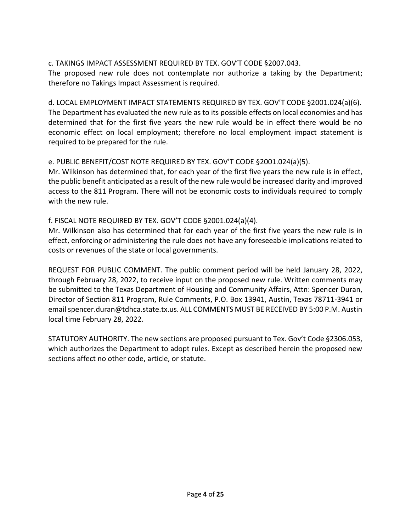c. TAKINGS IMPACT ASSESSMENT REQUIRED BY TEX. GOV'T CODE §2007.043.

The proposed new rule does not contemplate nor authorize a taking by the Department; therefore no Takings Impact Assessment is required.

d. LOCAL EMPLOYMENT IMPACT STATEMENTS REQUIRED BY TEX. GOV'T CODE §2001.024(a)(6). The Department has evaluated the new rule as to its possible effects on local economies and has determined that for the first five years the new rule would be in effect there would be no economic effect on local employment; therefore no local employment impact statement is required to be prepared for the rule.

# e. PUBLIC BENEFIT/COST NOTE REQUIRED BY TEX. GOV'T CODE §2001.024(a)(5).

Mr. Wilkinson has determined that, for each year of the first five years the new rule is in effect, the public benefit anticipated as a result of the new rule would be increased clarity and improved access to the 811 Program. There will not be economic costs to individuals required to comply with the new rule.

# f. FISCAL NOTE REQUIRED BY TEX. GOV'T CODE §2001.024(a)(4).

Mr. Wilkinson also has determined that for each year of the first five years the new rule is in effect, enforcing or administering the rule does not have any foreseeable implications related to costs or revenues of the state or local governments.

REQUEST FOR PUBLIC COMMENT. The public comment period will be held January 28, 2022, through February 28, 2022, to receive input on the proposed new rule. Written comments may be submitted to the Texas Department of Housing and Community Affairs, Attn: Spencer Duran, Director of Section 811 Program, Rule Comments, P.O. Box 13941, Austin, Texas 78711-3941 or email spencer.duran@tdhca.state.tx.us. ALL COMMENTS MUST BE RECEIVED BY 5:00 P.M. Austin local time February 28, 2022.

STATUTORY AUTHORITY. The new sections are proposed pursuant to Tex. Gov't Code §2306.053, which authorizes the Department to adopt rules. Except as described herein the proposed new sections affect no other code, article, or statute.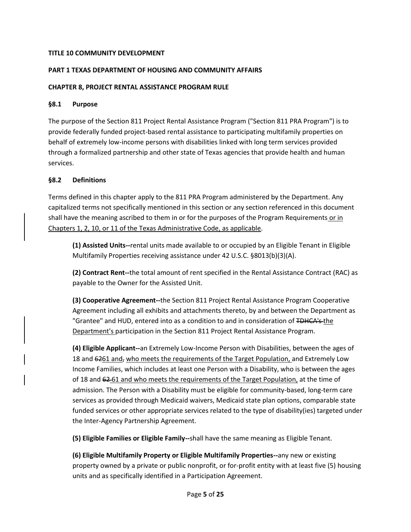### **TITLE 10 COMMUNITY DEVELOPMENT**

### **PART 1 TEXAS DEPARTMENT OF HOUSING AND COMMUNITY AFFAIRS**

### **CHAPTER 8, PROJECT RENTAL ASSISTANCE PROGRAM RULE**

#### **§8.1 Purpose**

The purpose of the Section 811 Project Rental Assistance Program ("Section 811 PRA Program") is to provide federally funded project-based rental assistance to participating multifamily properties on behalf of extremely low-income persons with disabilities linked with long term services provided through a formalized partnership and other state of Texas agencies that provide health and human services.

### **§8.2 Definitions**

Terms defined in this chapter apply to the 811 PRA Program administered by the Department. Any capitalized terms not specifically mentioned in this section or any section referenced in this document shall have the meaning ascribed to them in or for the purposes of the Program Requirements or in Chapters 1, 2, 10, or 11 of the Texas Administrative Code, as applicable.

**(1) Assisted Units--**rental units made available to or occupied by an Eligible Tenant in Eligible Multifamily Properties receiving assistance under 42 U.S.C. §8013(b)(3)(A).

**(2) Contract Rent--**the total amount of rent specified in the Rental Assistance Contract (RAC) as payable to the Owner for the Assisted Unit.

**(3) Cooperative Agreement--**the Section 811 Project Rental Assistance Program Cooperative Agreement including all exhibits and attachments thereto, by and between the Department as "Grantee" and HUD, entered into as a condition to and in consideration of TDHCA's-the Department's participation in the Section 811 Project Rental Assistance Program.

**(4) Eligible Applicant--**an Extremely Low-Income Person with Disabilities, between the ages of 18 and 6261 and, who meets the requirements of the Target Population, and Extremely Low Income Families, which includes at least one Person with a Disability, who is between the ages of 18 and 62-61 and who meets the requirements of the Target Population, at the time of admission. The Person with a Disability must be eligible for community-based, long-term care services as provided through Medicaid waivers, Medicaid state plan options, comparable state funded services or other appropriate services related to the type of disability(ies) targeted under the Inter-Agency Partnership Agreement.

**(5) Eligible Families or Eligible Family--**shall have the same meaning as Eligible Tenant.

**(6) Eligible Multifamily Property or Eligible Multifamily Properties--**any new or existing property owned by a private or public nonprofit, or for-profit entity with at least five (5) housing units and as specifically identified in a Participation Agreement.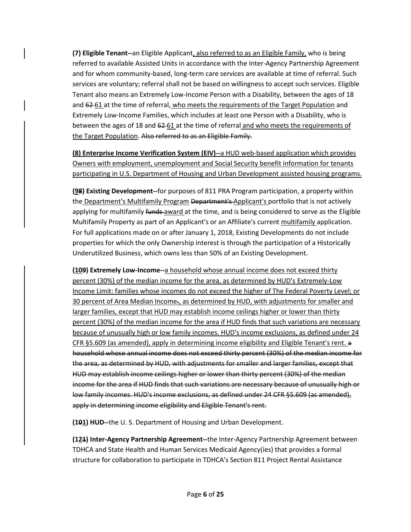**(7) Eligible Tenant--**an Eligible Applicant, also referred to as an Eligible Family, who is being referred to available Assisted Units in accordance with the Inter-Agency Partnership Agreement and for whom community-based, long-term care services are available at time of referral. Such services are voluntary; referral shall not be based on willingness to accept such services. Eligible Tenant also means an Extremely Low-Income Person with a Disability, between the ages of 18 and 62-61 at the time of referral, who meets the requirements of the Target Population and Extremely Low-Income Families, which includes at least one Person with a Disability, who is between the ages of 18 and  $62-61$  at the time of referral and who meets the requirements of the Target Population. Also referred to as an Eligible Family.

**(8) Enterprise Income Verification System (EIV)--**a HUD web-based application which provides Owners with employment, unemployment and Social Security benefit information for tenants participating in U.S. Department of Housing and Urban Development assisted housing programs.

**(98) Existing Development--**for purposes of 811 PRA Program participation, a property within the Department's Multifamily Program <del>Department's</del> Applicant's portfolio that is not actively applying for multifamily funds-award at the time, and is being considered to serve as the Eligible Multifamily Property as part of an Applicant's or an Affiliate's current multifamily application. For full applications made on or after January 1, 2018, Existing Developments do not include properties for which the only Ownership interest is through the participation of a Historically Underutilized Business, which owns less than 50% of an Existing Development.

**(109) Extremely Low-Income--**a household whose annual income does not exceed thirty percent (30%) of the median income for the area, as determined by HUD's Extremely-Low Income Limit: families whose incomes do not exceed the higher of The Federal Poverty Level; or 30 percent of Area Median Income-, as determined by HUD, with adjustments for smaller and larger families, except that HUD may establish income ceilings higher or lower than thirty percent (30%) of the median income for the area if HUD finds that such variations are necessary because of unusually high or low family incomes. HUD's income exclusions, as defined under 24 CFR §5.609 (as amended), apply in determining income eligibility and Eligible Tenant's rent. a household whose annual income does not exceed thirty percent (30%) of the median income for the area, as determined by HUD, with adjustments for smaller and larger families, except that HUD may establish income ceilings higher or lower than thirty percent (30%) of the median income for the area if HUD finds that such variations are necessary because of unusually high or low family incomes. HUD's income exclusions, as defined under 24 CFR §5.609 (as amended), apply in determining income eligibility and Eligible Tenant's rent.

**(101) HUD--**the U. S. Department of Housing and Urban Development.

**(121) Inter-Agency Partnership Agreement--**the Inter-Agency Partnership Agreement between TDHCA and State Health and Human Services Medicaid Agency(ies) that provides a formal structure for collaboration to participate in TDHCA's Section 811 Project Rental Assistance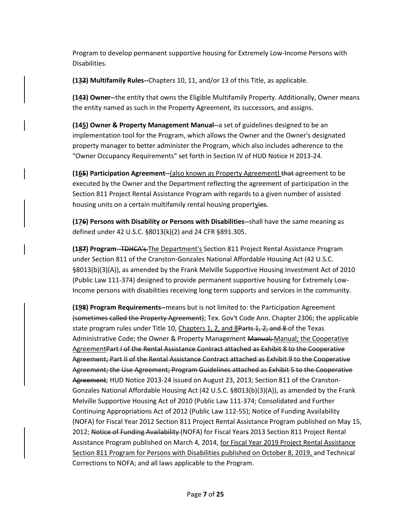Program to develop permanent supportive housing for Extremely Low-Income Persons with Disabilities.

**(132) Multifamily Rules--**Chapters 10, 11, and/or 13 of this Title, as applicable.

**(143) Owner--**the entity that owns the Eligible Multifamily Property. Additionally, Owner means the entity named as such in the Property Agreement, its successors, and assigns.

**(145) Owner & Property Management Manual--**a set of guidelines designed to be an implementation tool for the Program, which allows the Owner and the Owner's designated property manager to better administer the Program, which also includes adherence to the "Owner Occupancy Requirements" set forth in Section IV of HUD Notice H 2013-24.

**(165) Participation Agreement--**(also known as Property Agreement) that agreement to be executed by the Owner and the Department reflecting the agreement of participation in the Section 811 Project Rental Assistance Program with regards to a given number of assisted housing units on a certain multifamily rental housing propertyies.

**(176) Persons with Disability or Persons with Disabilities--**shall have the same meaning as defined under 42 U.S.C. §8013(k)(2) and 24 CFR §891.305.

**(187) Program--**TDHCA's The Department's Section 811 Project Rental Assistance Program under Section 811 of the Cranston-Gonzales National Affordable Housing Act (42 U.S.C. §8013(b)(3)(A)), as amended by the Frank Melville Supportive Housing Investment Act of 2010 (Public Law 111-374) designed to provide permanent supportive housing for Extremely Low-Income persons with disabilities receiving long term supports and services in the community.

**(198) Program Requirements--**means but is not limited to: the Participation Agreement (sometimes called the Property Agreement); Tex. Gov't Code Ann. Chapter 2306; the applicable state program rules under Title 10, Chapters 1, 2, and 8Parts 1, 2, and 8 of the Texas Administrative Code; the Owner & Property Management Manual; the Cooperative AgreementPart I of the Rental Assistance Contract attached as Exhibit 8 to the Cooperative Agreement; Part II of the Rental Assistance Contract attached as Exhibit 9 to the Cooperative Agreement; the Use Agreement; Program Guidelines attached as Exhibit 5 to the Cooperative Agreement; HUD Notice 2013-24 issued on August 23, 2013; Section 811 of the Cranston-Gonzales National Affordable Housing Act (42 U.S.C. §8013(b)(3)(A)), as amended by the Frank Melville Supportive Housing Act of 2010 (Public Law 111-374; Consolidated and Further Continuing Appropriations Act of 2012 (Public Law 112-55); Notice of Funding Availability (NOFA) for Fiscal Year 2012 Section 811 Project Rental Assistance Program published on May 15, 2012; Notice of Funding Availability (NOFA) for Fiscal Years 2013 Section 811 Project Rental Assistance Program published on March 4, 2014, for Fiscal Year 2019 Project Rental Assistance Section 811 Program for Persons with Disabilities published on October 8, 2019, and Technical Corrections to NOFA; and all laws applicable to the Program.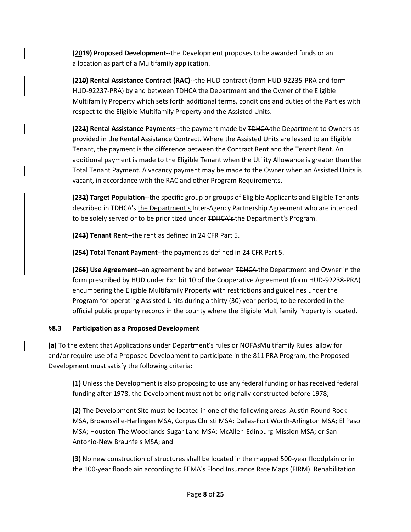**(2019) Proposed Development--**the Development proposes to be awarded funds or an allocation as part of a Multifamily application.

**(210) Rental Assistance Contract (RAC)--**the HUD contract (form HUD-92235-PRA and form HUD-92237-PRA) by and between TDHCA the Department and the Owner of the Eligible Multifamily Property which sets forth additional terms, conditions and duties of the Parties with respect to the Eligible Multifamily Property and the Assisted Units.

**(221) Rental Assistance Payments--**the payment made by <del>TDHCA</del>-the Department to Owners as provided in the Rental Assistance Contract. Where the Assisted Units are leased to an Eligible Tenant, the payment is the difference between the Contract Rent and the Tenant Rent. An additional payment is made to the Eligible Tenant when the Utility Allowance is greater than the Total Tenant Payment. A vacancy payment may be made to the Owner when an Assisted Units is vacant, in accordance with the RAC and other Program Requirements.

**(232) Target Population--**the specific group or groups of Eligible Applicants and Eligible Tenants described in TDHCA's the Department's Inter-Agency Partnership Agreement who are intended to be solely served or to be prioritized under TDHCA's the Department's Program.

**(243) Tenant Rent--**the rent as defined in 24 CFR Part 5.

**(254) Total Tenant Payment--**the payment as defined in 24 CFR Part 5.

**(265) Use Agreement--**an agreement by and between TDHCA the Department and Owner in the form prescribed by HUD under Exhibit 10 of the Cooperative Agreement (form HUD-92238-PRA) encumbering the Eligible Multifamily Property with restrictions and guidelines under the Program for operating Assisted Units during a thirty (30) year period, to be recorded in the official public property records in the county where the Eligible Multifamily Property is located.

## **§8.3 Participation as a Proposed Development**

**(a)** To the extent that Applications under Department's rules or NOFAsMultifamily Rules allow for and/or require use of a Proposed Development to participate in the 811 PRA Program, the Proposed Development must satisfy the following criteria:

**(1)** Unless the Development is also proposing to use any federal funding or has received federal funding after 1978, the Development must not be originally constructed before 1978;

**(2)** The Development Site must be located in one of the following areas: Austin-Round Rock MSA, Brownsville-Harlingen MSA, Corpus Christi MSA; Dallas-Fort Worth-Arlington MSA; El Paso MSA; Houston-The Woodlands-Sugar Land MSA; McAllen-Edinburg-Mission MSA; or San Antonio-New Braunfels MSA; and

**(3)** No new construction of structures shall be located in the mapped 500-year floodplain or in the 100-year floodplain according to FEMA's Flood Insurance Rate Maps (FIRM). Rehabilitation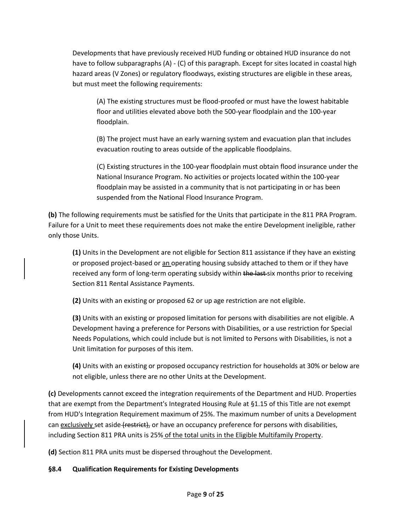Developments that have previously received HUD funding or obtained HUD insurance do not have to follow subparagraphs (A) - (C) of this paragraph. Except for sites located in coastal high hazard areas (V Zones) or regulatory floodways, existing structures are eligible in these areas, but must meet the following requirements:

(A) The existing structures must be flood-proofed or must have the lowest habitable floor and utilities elevated above both the 500-year floodplain and the 100-year floodplain.

(B) The project must have an early warning system and evacuation plan that includes evacuation routing to areas outside of the applicable floodplains.

(C) Existing structures in the 100-year floodplain must obtain flood insurance under the National Insurance Program. No activities or projects located within the 100-year floodplain may be assisted in a community that is not participating in or has been suspended from the National Flood Insurance Program.

**(b)** The following requirements must be satisfied for the Units that participate in the 811 PRA Program. Failure for a Unit to meet these requirements does not make the entire Development ineligible, rather only those Units.

**(1)** Units in the Development are not eligible for Section 811 assistance if they have an existing or proposed project-based or an operating housing subsidy attached to them or if they have received any form of long-term operating subsidy within the last-six months prior to receiving Section 811 Rental Assistance Payments.

**(2)** Units with an existing or proposed 62 or up age restriction are not eligible.

**(3)** Units with an existing or proposed limitation for persons with disabilities are not eligible. A Development having a preference for Persons with Disabilities, or a use restriction for Special Needs Populations, which could include but is not limited to Persons with Disabilities, is not a Unit limitation for purposes of this item.

**(4)** Units with an existing or proposed occupancy restriction for households at 30% or below are not eligible, unless there are no other Units at the Development.

**(c)** Developments cannot exceed the integration requirements of the Department and HUD. Properties that are exempt from the Department's Integrated Housing Rule at §1.15 of this Title are not exempt from HUD's Integration Requirement maximum of 25%. The maximum number of units a Development can exclusively set aside (restrict), or have an occupancy preference for persons with disabilities, including Section 811 PRA units is 25% of the total units in the Eligible Multifamily Property.

**(d)** Section 811 PRA units must be dispersed throughout the Development.

## **§8.4 Qualification Requirements for Existing Developments**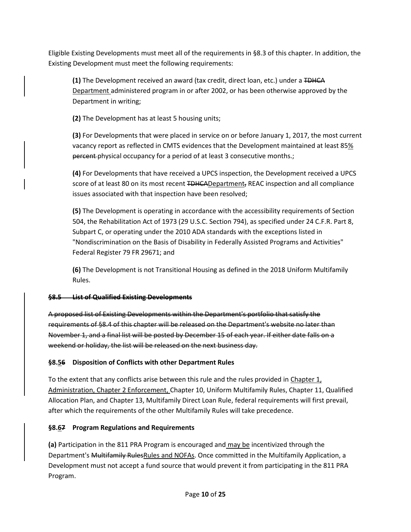Eligible Existing Developments must meet all of the requirements in §8.3 of this chapter. In addition, the Existing Development must meet the following requirements:

**(1)** The Development received an award (tax credit, direct loan, etc.) under a TDHCA Department administered program in or after 2002, or has been otherwise approved by the Department in writing;

**(2)** The Development has at least 5 housing units;

**(3)** For Developments that were placed in service on or before January 1, 2017, the most current vacancy report as reflected in CMTS evidences that the Development maintained at least 85% percent physical occupancy for a period of at least 3 consecutive months.;

**(4)** For Developments that have received a UPCS inspection, the Development received a UPCS score of at least 80 on its most recent <del>TDHCA</del>Department, REAC inspection and all compliance issues associated with that inspection have been resolved;

**(5)** The Development is operating in accordance with the accessibility requirements of Section 504, the Rehabilitation Act of 1973 (29 U.S.C. Section 794), as specified under 24 C.F.R. Part 8, Subpart C, or operating under the 2010 ADA standards with the exceptions listed in "Nondiscrimination on the Basis of Disability in Federally Assisted Programs and Activities" Federal Register 79 FR 29671; and

**(6)** The Development is not Transitional Housing as defined in the 2018 Uniform Multifamily Rules.

## **§8.5 List of Qualified Existing Developments**

A proposed list of Existing Developments within the Department's portfolio that satisfy the requirements of §8.4 of this chapter will be released on the Department's website no later than November 1, and a final list will be posted by December 15 of each year. If either date falls on a weekend or holiday, the list will be released on the next business day.

# **§8.56 Disposition of Conflicts with other Department Rules**

To the extent that any conflicts arise between this rule and the rules provided in Chapter  $1$ , Administration, Chapter 2 Enforcement, Chapter 10, Uniform Multifamily Rules, Chapter 11, Qualified Allocation Plan, and Chapter 13, Multifamily Direct Loan Rule, federal requirements will first prevail, after which the requirements of the other Multifamily Rules will take precedence.

## **§8.67 Program Regulations and Requirements**

**(a)** Participation in the 811 PRA Program is encouraged and may be incentivized through the Department's Multifamily RulesRules and NOFAs. Once committed in the Multifamily Application, a Development must not accept a fund source that would prevent it from participating in the 811 PRA Program.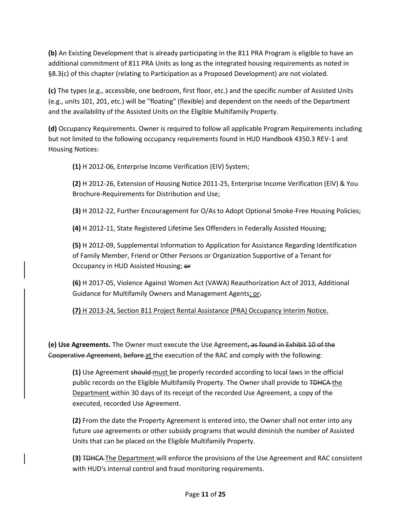**(b)** An Existing Development that is already participating in the 811 PRA Program is eligible to have an additional commitment of 811 PRA Units as long as the integrated housing requirements as noted in §8.3(c) of this chapter (relating to Participation as a Proposed Development) are not violated.

**(c)** The types (e.g., accessible, one bedroom, first floor, etc.) and the specific number of Assisted Units (e.g., units 101, 201, etc.) will be "floating" (flexible) and dependent on the needs of the Department and the availability of the Assisted Units on the Eligible Multifamily Property.

**(d)** Occupancy Requirements. Owner is required to follow all applicable Program Requirements including but not limited to the following occupancy requirements found in HUD Handbook 4350.3 REV-1 and Housing Notices:

**(1)** H 2012-06, Enterprise Income Verification (EIV) System;

**(2)** H 2012-26, Extension of Housing Notice 2011-25, Enterprise Income Verification (EIV) & You Brochure-Requirements for Distribution and Use;

**(3)** H 2012-22, Further Encouragement for O/As to Adopt Optional Smoke-Free Housing Policies;

**(4)** H 2012-11, State Registered Lifetime Sex Offenders in Federally Assisted Housing;

**(5)** H 2012-09, Supplemental Information to Application for Assistance Regarding Identification of Family Member, Friend or Other Persons or Organization Supportive of a Tenant for Occupancy in HUD Assisted Housing; or

**(6)** H 2017-05, Violence Against Women Act (VAWA) Reauthorization Act of 2013, Additional Guidance for Multifamily Owners and Management Agents; or.

**(7)** H 2013-24, Section 811 Project Rental Assistance (PRA) Occupancy Interim Notice.

**(e) Use Agreements.** The Owner must execute the Use Agreement, as found in Exhibit 10 of the Cooperative Agreement, before at the execution of the RAC and comply with the following:

**(1)** Use Agreement should must be properly recorded according to local laws in the official public records on the Eligible Multifamily Property. The Owner shall provide to TDHCA-the Department within 30 days of its receipt of the recorded Use Agreement, a copy of the executed, recorded Use Agreement.

**(2)** From the date the Property Agreement is entered into, the Owner shall not enter into any future use agreements or other subsidy programs that would diminish the number of Assisted Units that can be placed on the Eligible Multifamily Property.

**(3)** TDHCA The Department will enforce the provisions of the Use Agreement and RAC consistent with HUD's internal control and fraud monitoring requirements.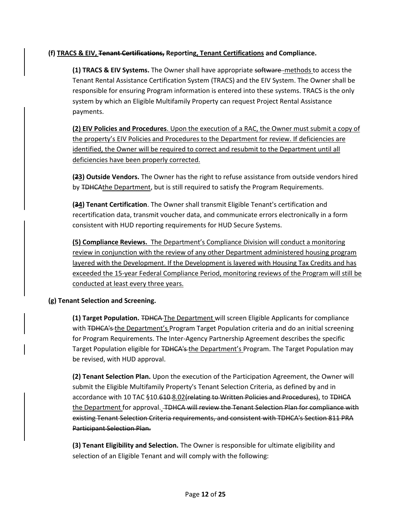## **(f) TRACS & EIV, Tenant Certifications, Reporting, Tenant Certifications and Compliance.**

**(1) TRACS & EIV Systems.** The Owner shall have appropriate software methods to access the Tenant Rental Assistance Certification System (TRACS) and the EIV System. The Owner shall be responsible for ensuring Program information is entered into these systems. TRACS is the only system by which an Eligible Multifamily Property can request Project Rental Assistance payments.

**(2) EIV Policies and Procedures**. Upon the execution of a RAC, the Owner must submit a copy of the property's EIV Policies and Procedures to the Department for review. If deficiencies are identified, the Owner will be required to correct and resubmit to the Department until all deficiencies have been properly corrected.

**(23) Outside Vendors.** The Owner has the right to refuse assistance from outside vendors hired by TDHCAthe Department, but is still required to satisfy the Program Requirements.

**(34) Tenant Certification**. The Owner shall transmit Eligible Tenant's certification and recertification data, transmit voucher data, and communicate errors electronically in a form consistent with HUD reporting requirements for HUD Secure Systems.

**(5) Compliance Reviews.** The Department's Compliance Division will conduct a monitoring review in conjunction with the review of any other Department administered housing program layered with the Development. If the Development is layered with Housing Tax Credits and has exceeded the 15-year Federal Compliance Period, monitoring reviews of the Program will still be conducted at least every three years.

## **(g) Tenant Selection and Screening.**

**(1) Target Population.** TDHCA The Department will screen Eligible Applicants for compliance with TDHCA's the Department's Program Target Population criteria and do an initial screening for Program Requirements. The Inter-Agency Partnership Agreement describes the specific Target Population eligible for TDHCA's the Department's Program. The Target Population may be revised, with HUD approval.

**(2) Tenant Selection Plan.** Upon the execution of the Participation Agreement, the Owner will submit the Eligible Multifamily Property's Tenant Selection Criteria, as defined by and in accordance with 10 TAC §10.610-8.02 (relating to Written Policies and Procedures), to TDHCA the Department for approval. TDHCA will review the Tenant Selection Plan for compliance with existing Tenant Selection Criteria requirements, and consistent with TDHCA's Section 811 PRA Participant Selection Plan.

**(3) Tenant Eligibility and Selection.** The Owner is responsible for ultimate eligibility and selection of an Eligible Tenant and will comply with the following: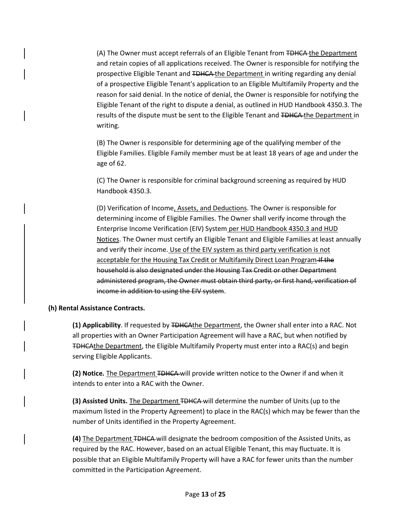(A) The Owner must accept referrals of an Eligible Tenant from TDHCA the Department and retain copies of all applications received. The Owner is responsible for notifying the prospective Eligible Tenant and TDHCA-the Department in writing regarding any denial of a prospective Eligible Tenant's application to an Eligible Multifamily Property and the reason for said denial. In the notice of denial, the Owner is responsible for notifying the Eligible Tenant of the right to dispute a denial, as outlined in HUD Handbook 4350.3. The results of the dispute must be sent to the Eligible Tenant and TDHCA the Department in writing.

(B) The Owner is responsible for determining age of the qualifying member of the Eligible Families. Eligible Family member must be at least 18 years of age and under the age of 62.

(C) The Owner is responsible for criminal background screening as required by HUD Handbook 4350.3.

(D) Verification of Income, Assets, and Deductions. The Owner is responsible for determining income of Eligible Families. The Owner shall verify income through the Enterprise Income Verification (EIV) System per HUD Handbook 4350.3 and HUD Notices. The Owner must certify an Eligible Tenant and Eligible Families at least annually and verify their income. Use of the EIV system as third party verification is not acceptable for the Housing Tax Credit or Multifamily Direct Loan Program If the household is also designated under the Housing Tax Credit or other Department administered program, the Owner must obtain third party, or first hand, verification of income in addition to using the EIV system.

### **(h) Rental Assistance Contracts.**

**(1) Applicability**. If requested by TDHCAthe Department, the Owner shall enter into a RAC. Not all properties with an Owner Participation Agreement will have a RAC, but when notified by TDHCAthe Department, the Eligible Multifamily Property must enter into a RAC(s) and begin serving Eligible Applicants.

**(2) Notice.** The Department TDHCA will provide written notice to the Owner if and when it intends to enter into a RAC with the Owner.

**(3) Assisted Units.** The Department TDHCA will determine the number of Units (up to the maximum listed in the Property Agreement) to place in the RAC(s) which may be fewer than the number of Units identified in the Property Agreement.

**(4)** The Department TDHCA will designate the bedroom composition of the Assisted Units, as required by the RAC. However, based on an actual Eligible Tenant, this may fluctuate. It is possible that an Eligible Multifamily Property will have a RAC for fewer units than the number committed in the Participation Agreement.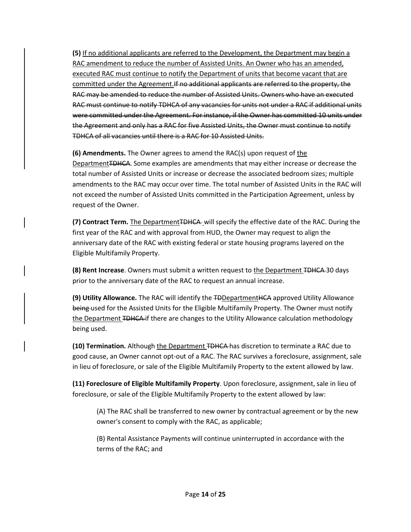**(5)** If no additional applicants are referred to the Development, the Department may begin a RAC amendment to reduce the number of Assisted Units. An Owner who has an amended, executed RAC must continue to notify the Department of units that become vacant that are committed under the Agreement. If no additional applicants are referred to the property, the RAC may be amended to reduce the number of Assisted Units. Owners who have an executed RAC must continue to notify TDHCA of any vacancies for units not under a RAC if additional units were committed under the Agreement. For instance, if the Owner has committed 10 units under the Agreement and only has a RAC for five Assisted Units, the Owner must continue to notify TDHCA of all vacancies until there is a RAC for 10 Assisted Units.

**(6) Amendments.** The Owner agrees to amend the RAC(s) upon request of the DepartmentTDHCA. Some examples are amendments that may either increase or decrease the total number of Assisted Units or increase or decrease the associated bedroom sizes; multiple amendments to the RAC may occur over time. The total number of Assisted Units in the RAC will not exceed the number of Assisted Units committed in the Participation Agreement, unless by request of the Owner.

**(7) Contract Term.** The Department<del>TDHCA</del> will specify the effective date of the RAC. During the first year of the RAC and with approval from HUD, the Owner may request to align the anniversary date of the RAC with existing federal or state housing programs layered on the Eligible Multifamily Property.

**(8) Rent Increase**. Owners must submit a written request to the Department TDHCA 30 days prior to the anniversary date of the RAC to request an annual increase.

**(9) Utility Allowance.** The RAC will identify the TDDepartmentHCA approved Utility Allowance being used for the Assisted Units for the Eligible Multifamily Property. The Owner must notify the Department TDHCA if there are changes to the Utility Allowance calculation methodology being used.

**(10) Termination.** Although the Department TDHCA has discretion to terminate a RAC due to good cause, an Owner cannot opt-out of a RAC. The RAC survives a foreclosure, assignment, sale in lieu of foreclosure, or sale of the Eligible Multifamily Property to the extent allowed by law.

**(11) Foreclosure of Eligible Multifamily Property**. Upon foreclosure, assignment, sale in lieu of foreclosure, or sale of the Eligible Multifamily Property to the extent allowed by law:

(A) The RAC shall be transferred to new owner by contractual agreement or by the new owner's consent to comply with the RAC, as applicable;

(B) Rental Assistance Payments will continue uninterrupted in accordance with the terms of the RAC; and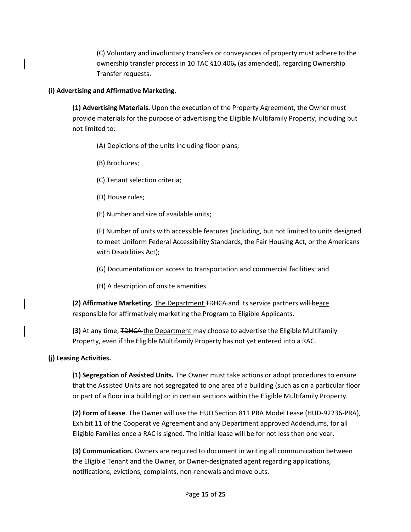(C) Voluntary and involuntary transfers or conveyances of property must adhere to the ownership transfer process in 10 TAC  $\S$ 10.406, (as amended), regarding Ownership Transfer requests.

## **(i) Advertising and Affirmative Marketing.**

**(1) Advertising Materials.** Upon the execution of the Property Agreement, the Owner must provide materials for the purpose of advertising the Eligible Multifamily Property, including but not limited to:

(A) Depictions of the units including floor plans;

- (B) Brochures;
- (C) Tenant selection criteria;
- (D) House rules;
- (E) Number and size of available units;

(F) Number of units with accessible features (including, but not limited to units designed to meet Uniform Federal Accessibility Standards, the Fair Housing Act, or the Americans with Disabilities Act);

(G) Documentation on access to transportation and commercial facilities; and

(H) A description of onsite amenities.

**(2) Affirmative Marketing.** The Department TDHCA and its service partners will beare responsible for affirmatively marketing the Program to Eligible Applicants.

**(3)** At any time, TDHCA the Department may choose to advertise the Eligible Multifamily Property, even if the Eligible Multifamily Property has not yet entered into a RAC.

### **(j) Leasing Activities.**

**(1) Segregation of Assisted Units.** The Owner must take actions or adopt procedures to ensure that the Assisted Units are not segregated to one area of a building (such as on a particular floor or part of a floor in a building) or in certain sections within the Eligible Multifamily Property.

**(2) Form of Lease**. The Owner will use the HUD Section 811 PRA Model Lease (HUD-92236-PRA), Exhibit 11 of the Cooperative Agreement and any Department approved Addendums, for all Eligible Families once a RAC is signed. The initial lease will be for not less than one year.

**(3) Communication.** Owners are required to document in writing all communication between the Eligible Tenant and the Owner, or Owner-designated agent regarding applications, notifications, evictions, complaints, non-renewals and move outs.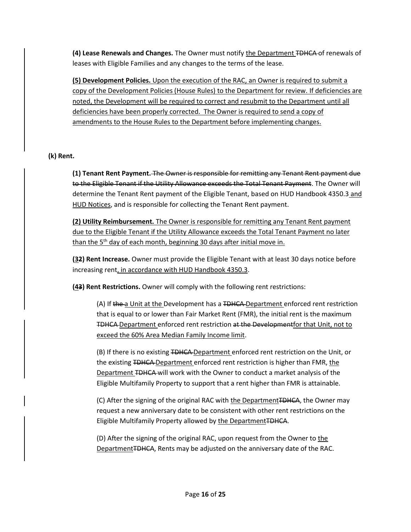**(4) Lease Renewals and Changes.** The Owner must notify the Department TDHCA of renewals of leases with Eligible Families and any changes to the terms of the lease.

**(5) Development Policies.** Upon the execution of the RAC, an Owner is required to submit a copy of the Development Policies (House Rules) to the Department for review. If deficiencies are noted, the Development will be required to correct and resubmit to the Department until all deficiencies have been properly corrected. The Owner is required to send a copy of amendments to the House Rules to the Department before implementing changes.

### **(k) Rent.**

**(1) Tenant Rent Payment.** The Owner is responsible for remitting any Tenant Rent payment due to the Eligible Tenant if the Utility Allowance exceeds the Total Tenant Payment. The Owner will determine the Tenant Rent payment of the Eligible Tenant, based on HUD Handbook 4350.3 and HUD Notices, and is responsible for collecting the Tenant Rent payment.

**(2) Utility Reimbursement.** The Owner is responsible for remitting any Tenant Rent payment due to the Eligible Tenant if the Utility Allowance exceeds the Total Tenant Payment no later than the 5<sup>th</sup> day of each month, beginning 30 days after initial move in.

**(32) Rent Increase.** Owner must provide the Eligible Tenant with at least 30 days notice before increasing rent, in accordance with HUD Handbook 4350.3.

**(43) Rent Restrictions.** Owner will comply with the following rent restrictions:

(A) If the a Unit at the Development has a TDHCA Department enforced rent restriction that is equal to or lower than Fair Market Rent (FMR), the initial rent is the maximum TDHCA Department enforced rent restriction at the Developmentfor that Unit, not to exceed the 60% Area Median Family Income limit.

(B) If there is no existing <del>TDHCA</del> Department enforced rent restriction on the Unit, or the existing TDHCA-Department enforced rent restriction is higher than FMR, the Department TDHCA will work with the Owner to conduct a market analysis of the Eligible Multifamily Property to support that a rent higher than FMR is attainable.

(C) After the signing of the original RAC with the Department TDHCA, the Owner may request a new anniversary date to be consistent with other rent restrictions on the Eligible Multifamily Property allowed by the Department TDHCA.

(D) After the signing of the original RAC, upon request from the Owner to the Department<del>TDHCA</del>, Rents may be adjusted on the anniversary date of the RAC.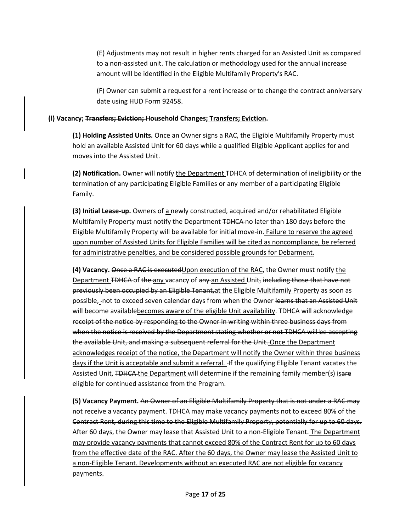(E) Adjustments may not result in higher rents charged for an Assisted Unit as compared to a non-assisted unit. The calculation or methodology used for the annual increase amount will be identified in the Eligible Multifamily Property's RAC.

(F) Owner can submit a request for a rent increase or to change the contract anniversary date using HUD Form 92458.

## **(l) Vacancy; Transfers; Eviction; Household Changes; Transfers; Eviction.**

**(1) Holding Assisted Units.** Once an Owner signs a RAC, the Eligible Multifamily Property must hold an available Assisted Unit for 60 days while a qualified Eligible Applicant applies for and moves into the Assisted Unit.

**(2) Notification.** Owner will notify the Department TDHCA of determination of ineligibility or the termination of any participating Eligible Families or any member of a participating Eligible Family.

**(3) Initial Lease-up.** Owners of a newly constructed, acquired and/or rehabilitated Eligible Multifamily Property must notify the Department TDHCA no later than 180 days before the Eligible Multifamily Property will be available for initial move-in. Failure to reserve the agreed upon number of Assisted Units for Eligible Families will be cited as noncompliance, be referred for administrative penalties, and be considered possible grounds for Debarment.

**(4) Vacancy.** Once a RAC is executedUpon execution of the RAC, the Owner must notify the Department TDHCA of the any vacancy of any an Assisted Unit, including those that have not previously been occupied by an Eligible Tenant, at the Eligible Multifamily Property as soon as possible, -not to exceed seven calendar days from when the Owner learns that an Assisted Unit will become availablebecomes aware of the eligible Unit availability. TDHCA will acknowledge receipt of the notice by responding to the Owner in writing within three business days from when the notice is received by the Department stating whether or not TDHCA will be accepting the available Unit, and making a subsequent referral for the Unit. Once the Department acknowledges receipt of the notice, the Department will notify the Owner within three business days if the Unit is acceptable and submit a referral. If the qualifying Eligible Tenant vacates the Assisted Unit, TDHCA the Department will determine if the remaining family member(s) isare eligible for continued assistance from the Program.

**(5) Vacancy Payment.** An Owner of an Eligible Multifamily Property that is not under a RAC may not receive a vacancy payment. TDHCA may make vacancy payments not to exceed 80% of the Contract Rent, during this time to the Eligible Multifamily Property, potentially for up to 60 days. After 60 days, the Owner may lease that Assisted Unit to a non-Eligible Tenant. The Department may provide vacancy payments that cannot exceed 80% of the Contract Rent for up to 60 days from the effective date of the RAC. After the 60 days, the Owner may lease the Assisted Unit to a non-Eligible Tenant. Developments without an executed RAC are not eligible for vacancy payments.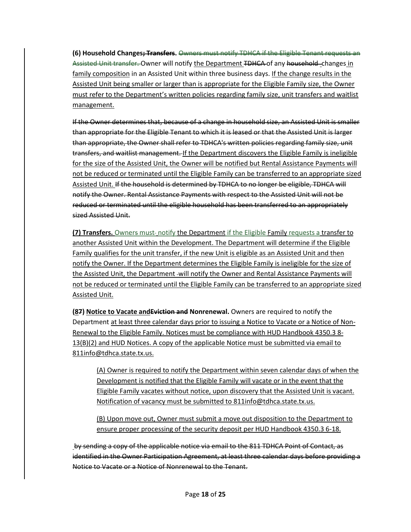**(6) Household Changes; Transfers.** Owners must notify TDHCA if the Eligible Tenant requests an Assisted Unit transfer. Owner will notify the Department TDHCA of any household changes in family composition in an Assisted Unit within three business days. If the change results in the Assisted Unit being smaller or larger than is appropriate for the Eligible Family size, the Owner must refer to the Department's written policies regarding family size, unit transfers and waitlist management.

If the Owner determines that, because of a change in household size, an Assisted Unit is smaller than appropriate for the Eligible Tenant to which it is leased or that the Assisted Unit is larger than appropriate, the Owner shall refer to TDHCA's written policies regarding family size, unit transfers, and waitlist management. If the Department discovers the Eligible Family is ineligible for the size of the Assisted Unit, the Owner will be notified but Rental Assistance Payments will not be reduced or terminated until the Eligible Family can be transferred to an appropriate sized Assisted Unit. If the household is determined by TDHCA to no longer be eligible, TDHCA will notify the Owner. Rental Assistance Payments with respect to the Assisted Unit will not be reduced or terminated until the eligible household has been transferred to an appropriately sized Assisted Unit.

**(7) Transfers.** Owners must-notify the Department if the Eligible Family requests a transfer to another Assisted Unit within the Development. The Department will determine if the Eligible Family qualifies for the unit transfer, if the new Unit is eligible as an Assisted Unit and then notify the Owner. If the Department determines the Eligible Family is ineligible for the size of the Assisted Unit, the Department -will notify the Owner and Rental Assistance Payments will not be reduced or terminated until the Eligible Family can be transferred to an appropriate sized Assisted Unit.

**(87) Notice to Vacate andEviction and Nonrenewal.** Owners are required to notify the Department at least three calendar days prior to issuing a Notice to Vacate or a Notice of Non-Renewal to the Eligible Family. Notices must be compliance with HUD Handbook 4350.3 8- 13(B)(2) and HUD Notices. A copy of the applicable Notice must be submitted via email to 811info@tdhca.state.tx.us.

(A) Owner is required to notify the Department within seven calendar days of when the Development is notified that the Eligible Family will vacate or in the event that the Eligible Family vacates without notice, upon discovery that the Assisted Unit is vacant. Notification of vacancy must be submitted to [811info@tdhca.state.tx.us.](mailto:811info@tdhca.state.tx.us)

(B) Upon move out, Owner must submit a move out disposition to the Department to ensure proper processing of the security deposit per HUD Handbook 4350.3 6-18.

by sending a copy of the applicable notice via email to the 811 TDHCA Point of Contact, as identified in the Owner Participation Agreement, at least three calendar days before providing a Notice to Vacate or a Notice of Nonrenewal to the Tenant.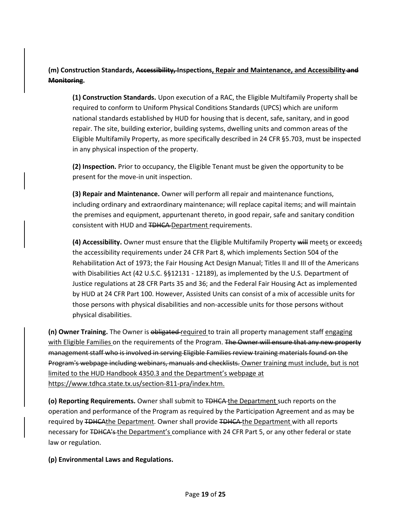**(m) Construction Standards, Accessibility, Inspections, Repair and Maintenance, and Accessibility and Monitoring.**

**(1) Construction Standards.** Upon execution of a RAC, the Eligible Multifamily Property shall be required to conform to Uniform Physical Conditions Standards (UPCS) which are uniform national standards established by HUD for housing that is decent, safe, sanitary, and in good repair. The site, building exterior, building systems, dwelling units and common areas of the Eligible Multifamily Property, as more specifically described in 24 CFR §5.703, must be inspected in any physical inspection of the property.

**(2) Inspection.** Prior to occupancy, the Eligible Tenant must be given the opportunity to be present for the move-in unit inspection.

**(3) Repair and Maintenance.** Owner will perform all repair and maintenance functions, including ordinary and extraordinary maintenance; will replace capital items; and will maintain the premises and equipment, appurtenant thereto, in good repair, safe and sanitary condition consistent with HUD and TDHCA Department requirements.

**(4) Accessibility.** Owner must ensure that the Eligible Multifamily Property will meets or exceeds the accessibility requirements under 24 CFR Part 8, which implements Section 504 of the Rehabilitation Act of 1973; the Fair Housing Act Design Manual; Titles II and III of the Americans with Disabilities Act (42 U.S.C. §§12131 - 12189), as implemented by the U.S. Department of Justice regulations at 28 CFR Parts 35 and 36; and the Federal Fair Housing Act as implemented by HUD at 24 CFR Part 100. However, Assisted Units can consist of a mix of accessible units for those persons with physical disabilities and non-accessible units for those persons without physical disabilities.

**(n) Owner Training.** The Owner is obligated required to train all property management staff engaging with Eligible Families on the requirements of the Program. The Owner will ensure that any new property management staff who is involved in serving Eligible Families review training materials found on the Program's webpage including webinars, manuals and checklists. Owner training must include, but is not limited to the HUD Handbook 4350.3 and the Department's webpage at [https://www.tdhca.state.tx.us/section-811-pra/index.htm.](https://www.tdhca.state.tx.us/section-811-pra/index.htm)

**(o) Reporting Requirements.** Owner shall submit to TDHCA the Department such reports on the operation and performance of the Program as required by the Participation Agreement and as may be required by TDHCAthe Department. Owner shall provide TDHCA the Department with all reports necessary for TDHCA's the Department's compliance with 24 CFR Part 5, or any other federal or state law or regulation.

**(p) Environmental Laws and Regulations.**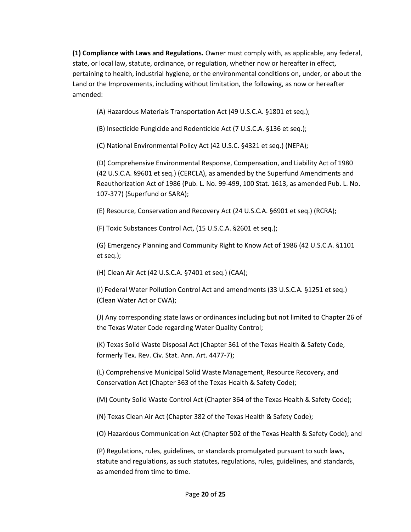**(1) Compliance with Laws and Regulations.** Owner must comply with, as applicable, any federal, state, or local law, statute, ordinance, or regulation, whether now or hereafter in effect, pertaining to health, industrial hygiene, or the environmental conditions on, under, or about the Land or the Improvements, including without limitation, the following, as now or hereafter amended:

(A) Hazardous Materials Transportation Act (49 U.S.C.A. §1801 et seq.);

(B) Insecticide Fungicide and Rodenticide Act (7 U.S.C.A. §136 et seq.);

(C) National Environmental Policy Act (42 U.S.C. §4321 et seq.) (NEPA);

(D) Comprehensive Environmental Response, Compensation, and Liability Act of 1980 (42 U.S.C.A. §9601 et seq.) (CERCLA), as amended by the Superfund Amendments and Reauthorization Act of 1986 (Pub. L. No. 99-499, 100 Stat. 1613, as amended Pub. L. No. 107-377) (Superfund or SARA);

(E) Resource, Conservation and Recovery Act (24 U.S.C.A. §6901 et seq.) (RCRA);

(F) Toxic Substances Control Act, (15 U.S.C.A. §2601 et seq.);

(G) Emergency Planning and Community Right to Know Act of 1986 (42 U.S.C.A. §1101 et seq.);

(H) Clean Air Act (42 U.S.C.A. §7401 et seq.) (CAA);

(I) Federal Water Pollution Control Act and amendments (33 U.S.C.A. §1251 et seq.) (Clean Water Act or CWA);

(J) Any corresponding state laws or ordinances including but not limited to Chapter 26 of the Texas Water Code regarding Water Quality Control;

(K) Texas Solid Waste Disposal Act (Chapter 361 of the Texas Health & Safety Code, formerly Tex. Rev. Civ. Stat. Ann. Art. 4477-7);

(L) Comprehensive Municipal Solid Waste Management, Resource Recovery, and Conservation Act (Chapter 363 of the Texas Health & Safety Code);

(M) County Solid Waste Control Act (Chapter 364 of the Texas Health & Safety Code);

(N) Texas Clean Air Act (Chapter 382 of the Texas Health & Safety Code);

(O) Hazardous Communication Act (Chapter 502 of the Texas Health & Safety Code); and

(P) Regulations, rules, guidelines, or standards promulgated pursuant to such laws, statute and regulations, as such statutes, regulations, rules, guidelines, and standards, as amended from time to time.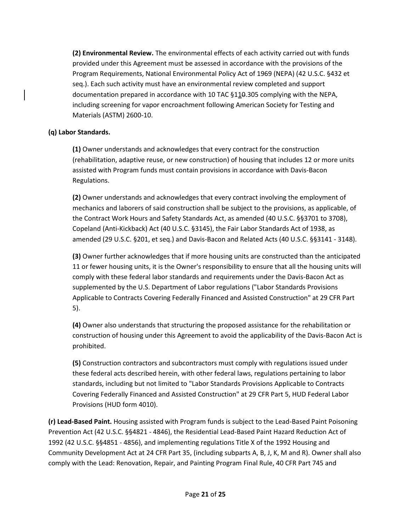**(2) Environmental Review.** The environmental effects of each activity carried out with funds provided under this Agreement must be assessed in accordance with the provisions of the Program Requirements, National Environmental Policy Act of 1969 (NEPA) (42 U.S.C. §432 et seq.). Each such activity must have an environmental review completed and support documentation prepared in accordance with 10 TAC §110.305 complying with the NEPA, including screening for vapor encroachment following American Society for Testing and Materials (ASTM) 2600-10.

## **(q) Labor Standards.**

**(1)** Owner understands and acknowledges that every contract for the construction (rehabilitation, adaptive reuse, or new construction) of housing that includes 12 or more units assisted with Program funds must contain provisions in accordance with Davis-Bacon Regulations.

**(2)** Owner understands and acknowledges that every contract involving the employment of mechanics and laborers of said construction shall be subject to the provisions, as applicable, of the Contract Work Hours and Safety Standards Act, as amended (40 U.S.C. §§3701 to 3708), Copeland (Anti-Kickback) Act (40 U.S.C. §3145), the Fair Labor Standards Act of 1938, as amended (29 U.S.C. §201, et seq.) and Davis-Bacon and Related Acts (40 U.S.C. §§3141 - 3148).

**(3)** Owner further acknowledges that if more housing units are constructed than the anticipated 11 or fewer housing units, it is the Owner's responsibility to ensure that all the housing units will comply with these federal labor standards and requirements under the Davis-Bacon Act as supplemented by the U.S. Department of Labor regulations ("Labor Standards Provisions Applicable to Contracts Covering Federally Financed and Assisted Construction" at 29 CFR Part 5).

**(4)** Owner also understands that structuring the proposed assistance for the rehabilitation or construction of housing under this Agreement to avoid the applicability of the Davis-Bacon Act is prohibited.

**(5)** Construction contractors and subcontractors must comply with regulations issued under these federal acts described herein, with other federal laws, regulations pertaining to labor standards, including but not limited to "Labor Standards Provisions Applicable to Contracts Covering Federally Financed and Assisted Construction" at 29 CFR Part 5, HUD Federal Labor Provisions (HUD form 4010).

**(r) Lead-Based Paint.** Housing assisted with Program funds is subject to the Lead-Based Paint Poisoning Prevention Act (42 U.S.C. §§4821 - 4846), the Residential Lead-Based Paint Hazard Reduction Act of 1992 (42 U.S.C. §§4851 - 4856), and implementing regulations Title X of the 1992 Housing and Community Development Act at 24 CFR Part 35, (including subparts A, B, J, K, M and R). Owner shall also comply with the Lead: Renovation, Repair, and Painting Program Final Rule, 40 CFR Part 745 and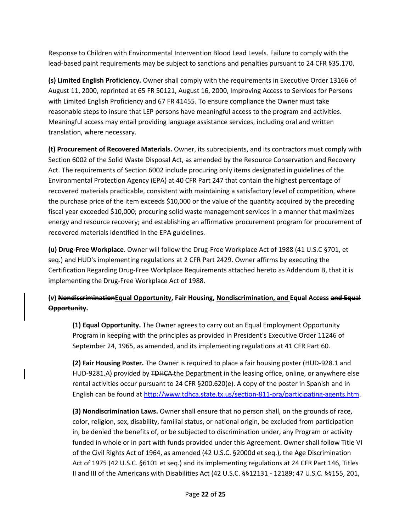Response to Children with Environmental Intervention Blood Lead Levels. Failure to comply with the lead-based paint requirements may be subject to sanctions and penalties pursuant to 24 CFR §35.170.

**(s) Limited English Proficiency.** Owner shall comply with the requirements in Executive Order 13166 of August 11, 2000, reprinted at 65 FR 50121, August 16, 2000, Improving Access to Services for Persons with Limited English Proficiency and 67 FR 41455. To ensure compliance the Owner must take reasonable steps to insure that LEP persons have meaningful access to the program and activities. Meaningful access may entail providing language assistance services, including oral and written translation, where necessary.

**(t) Procurement of Recovered Materials.** Owner, its subrecipients, and its contractors must comply with Section 6002 of the Solid Waste Disposal Act, as amended by the Resource Conservation and Recovery Act. The requirements of Section 6002 include procuring only items designated in guidelines of the Environmental Protection Agency (EPA) at 40 CFR Part 247 that contain the highest percentage of recovered materials practicable, consistent with maintaining a satisfactory level of competition, where the purchase price of the item exceeds \$10,000 or the value of the quantity acquired by the preceding fiscal year exceeded \$10,000; procuring solid waste management services in a manner that maximizes energy and resource recovery; and establishing an affirmative procurement program for procurement of recovered materials identified in the EPA guidelines.

**(u) Drug-Free Workplace**. Owner will follow the Drug-Free Workplace Act of 1988 (41 U.S.C §701, et seq.) and HUD's implementing regulations at 2 CFR Part 2429. Owner affirms by executing the Certification Regarding Drug-Free Workplace Requirements attached hereto as Addendum B, that it is implementing the Drug-Free Workplace Act of 1988.

# **(v) NondiscriminationEqual Opportunity, Fair Housing, Nondiscrimination, and Equal Access and Equal Opportunity.**

**(1) Equal Opportunity.** The Owner agrees to carry out an Equal Employment Opportunity Program in keeping with the principles as provided in President's Executive Order 11246 of September 24, 1965, as amended, and its implementing regulations at 41 CFR Part 60.

**(2) Fair Housing Poster.** The Owner is required to place a fair housing poster (HUD-928.1 and HUD-9281.A) provided by <del>TDHCA the Department</del> in the leasing office, online, or anywhere else rental activities occur pursuant to 24 CFR §200.620(e). A copy of the poster in Spanish and in English can be found at [http://www.tdhca.state.tx.us/section-811-pra/participating-agents.htm.](http://www.tdhca.state.tx.us/section-811-pra/participating-agents.htm)

**(3) Nondiscrimination Laws.** Owner shall ensure that no person shall, on the grounds of race, color, religion, sex, disability, familial status, or national origin, be excluded from participation in, be denied the benefits of, or be subjected to discrimination under, any Program or activity funded in whole or in part with funds provided under this Agreement. Owner shall follow Title VI of the Civil Rights Act of 1964, as amended (42 U.S.C. §2000d et seq.), the Age Discrimination Act of 1975 (42 U.S.C. §6101 et seq.) and its implementing regulations at 24 CFR Part 146, Titles II and III of the Americans with Disabilities Act (42 U.S.C. §§12131 - 12189; 47 U.S.C. §§155, 201,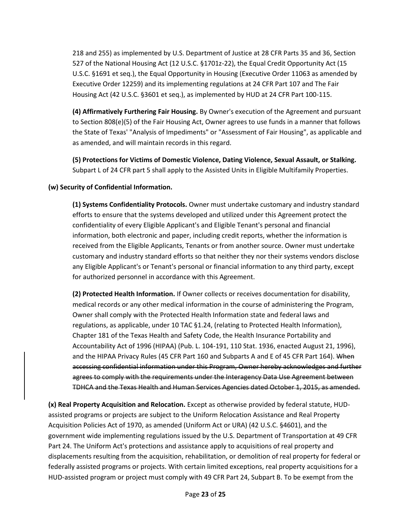218 and 255) as implemented by U.S. Department of Justice at 28 CFR Parts 35 and 36, Section 527 of the National Housing Act (12 U.S.C. §1701z-22), the Equal Credit Opportunity Act (15 U.S.C. §1691 et seq.), the Equal Opportunity in Housing (Executive Order 11063 as amended by Executive Order 12259) and its implementing regulations at 24 CFR Part 107 and The Fair Housing Act (42 U.S.C. §3601 et seq.), as implemented by HUD at 24 CFR Part 100-115.

**(4) Affirmatively Furthering Fair Housing.** By Owner's execution of the Agreement and pursuant to Section 808(e)(5) of the Fair Housing Act, Owner agrees to use funds in a manner that follows the State of Texas' "Analysis of Impediments" or "Assessment of Fair Housing", as applicable and as amended, and will maintain records in this regard.

**(5) Protections for Victims of Domestic Violence, Dating Violence, Sexual Assault, or Stalking.** Subpart L of 24 CFR part 5 shall apply to the Assisted Units in Eligible Multifamily Properties.

## **(w) Security of Confidential Information.**

**(1) Systems Confidentiality Protocols.** Owner must undertake customary and industry standard efforts to ensure that the systems developed and utilized under this Agreement protect the confidentiality of every Eligible Applicant's and Eligible Tenant's personal and financial information, both electronic and paper, including credit reports, whether the information is received from the Eligible Applicants, Tenants or from another source. Owner must undertake customary and industry standard efforts so that neither they nor their systems vendors disclose any Eligible Applicant's or Tenant's personal or financial information to any third party, except for authorized personnel in accordance with this Agreement.

**(2) Protected Health Information.** If Owner collects or receives documentation for disability, medical records or any other medical information in the course of administering the Program, Owner shall comply with the Protected Health Information state and federal laws and regulations, as applicable, under 10 TAC §1.24, (relating to Protected Health Information), Chapter 181 of the Texas Health and Safety Code, the Health Insurance Portability and Accountability Act of 1996 (HIPAA) (Pub. L. 104-191, 110 Stat. 1936, enacted August 21, 1996), and the HIPAA Privacy Rules (45 CFR Part 160 and Subparts A and E of 45 CFR Part 164). When accessing confidential information under this Program, Owner hereby acknowledges and further agrees to comply with the requirements under the Interagency Data Use Agreement between TDHCA and the Texas Health and Human Services Agencies dated October 1, 2015, as amended.

**(x) Real Property Acquisition and Relocation.** Except as otherwise provided by federal statute, HUDassisted programs or projects are subject to the Uniform Relocation Assistance and Real Property Acquisition Policies Act of 1970, as amended (Uniform Act or URA) (42 U.S.C. §4601), and the government wide implementing regulations issued by the U.S. Department of Transportation at 49 CFR Part 24. The Uniform Act's protections and assistance apply to acquisitions of real property and displacements resulting from the acquisition, rehabilitation, or demolition of real property for federal or federally assisted programs or projects. With certain limited exceptions, real property acquisitions for a HUD-assisted program or project must comply with 49 CFR Part 24, Subpart B. To be exempt from the